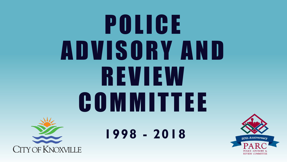# P O L I C E A D V I S O R Y A N D REVIEW C O M M I T T E E **1998 - 2018**



POLICE ADVISORY & **REVIEW COMMITTEE**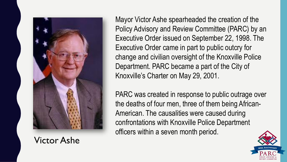

Victor Ashe

Mayor Victor Ashe spearheaded the creation of the Policy Advisory and Review Committee (PARC) by an Executive Order issued on September 22, 1998. The Executive Order came in part to public outcry for change and civilian oversight of the Knoxville Police Department. PARC became a part of the City of Knoxville's Charter on May 29, 2001.

PARC was created in response to public outrage over the deaths of four men, three of them being African-American. The causalities were caused during confrontations with Knoxville Police Department officers within a seven month period.

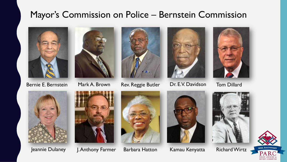#### Mayor's Commission on Police – Bernstein Commission







Bernie E. Bernstein Mark A. Brown Rev. Reggie Butler Dr. E.V. Davidson Tom Dillard



















**REVIEW COMMITTI**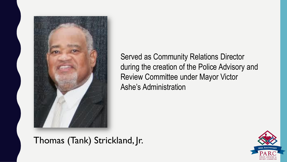

Served as Community Relations Director during the creation of the Police Advisory and Review Committee under Mayor Victor Ashe's Administration

Thomas (Tank) Strickland, Jr.

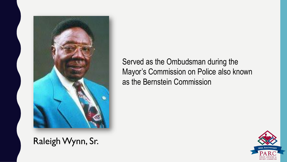

Raleigh Wynn, Sr.

Served as the Ombudsman during the Mayor's Commission on Police also known as the Bernstein Commission

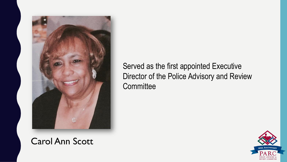

#### Carol Ann Scott

Served as the first appointed Executive Director of the Police Advisory and Review **Committee** 

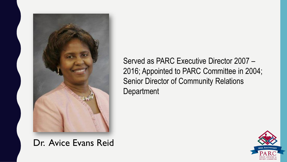

Dr. Avice Evans Reid

Served as PARC Executive Director 2007 – 2016; Appointed to PARC Committee in 2004; Senior Director of Community Relations **Department** 

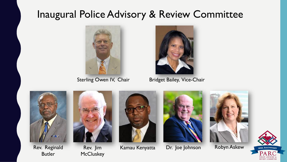## Inaugural Police Advisory & Review Committee





Sterling Owen IV, Chair Bridget Bailey, Vice-Chair



Rev. Reginald Butler



Rev. Jim **McCluskey** 







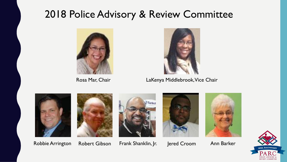## 2018 Police Advisory & Review Committee





Rosa Mar, Chair **LaKenya Middlebrook, Vice Chair** 



Robbie Arrington Robert Gibson Frank Shanklin, Jr. Jered Croom Ann Barker





Tarlos





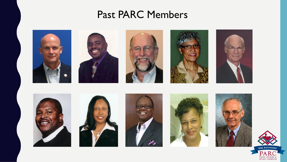### Past PARC Members